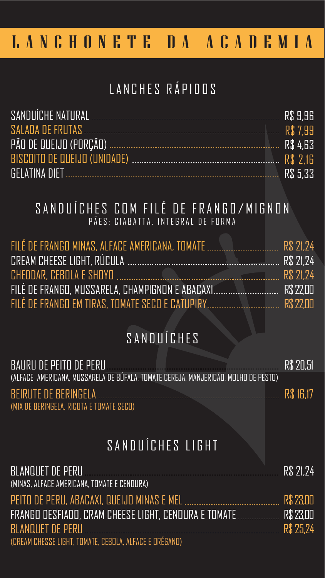FILÉ DE FRANGO MINAS, ALFACE AMERICANA, TOMATE CREAM CHEESE LIGHT, RÚCULA

BEIRUTE DE BERINGELA (MIX DE BERINGELA, RICOTA E TOMATE SECO)

CHEDDAR, CEBOLA E SHOYO FILÉ DE FRANGO, MUSSARELA, CHAMPIGNON E ABACAXI FILÉ DE FRANGO EM TIRAS, TOMATE SECO E CATUPIRY

| SANDUÍCHE NATURAL            | R\$ 9.96 |
|------------------------------|----------|
| SALADA DE FRUTAS             | R\$ 7.99 |
| PÃO DE QUEIJO (PORÇÃO)       | R\$ 4.63 |
| BISCOITO DE QUEIJO (UNIDADE) | R\$ 2.16 |
|                              | R\$ 5.33 |

#### SANDUÍCHES COM FILÉ DE FRANGO/MIGNON PÃES: CIABATTA, INTEGRAL DE FORMA

BAURU DE PEITO DE PERU (ALFACE AMERICANA, MUSSARELA DE BÚFALA, TOMATE CEREJA, MANJERICÃO, MOLHO DE PESTO) R\$ 20,51

| R\$ 21,24 |
|-----------|
| R\$ 21,24 |

R\$ 21,24 BLANQUET DE PERU (MINAS, ALFACE AMERICANA, TOMATE E CENOURA) PEITO DE PERU, ABACAXI, QUEIJO MINAS E MEL R\$ 23,00 FRANGO DESFIADO, CRAM CHEESE LIGHT, CENOURA E TOMATE R\$ 23,00 BLANQUET DE PERU R\$ 25,24 (CREAM CHESSE LIGHT, TOMATE, CEBOLA, ALFACE E ORÉGANO)



R\$ 16,17

## LANCHONETE DA ACADEMIA

## LANCHES RÁPIDOS

## SANDUÍCHES

# SANDUÍCHES LIGHT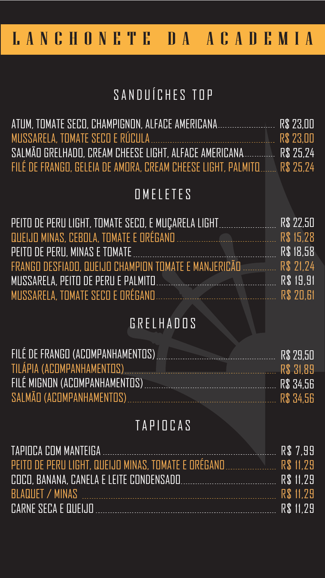| ATUM, TOMATE SECO, CHAMPIGNON, ALFACE AMERICANA               | . R\$ 23.00 |
|---------------------------------------------------------------|-------------|
| MUSSARELA, TOMATE SECO E RÚCULA                               | R\$ 23.00   |
| SALMÃO GRELHADO, CREAM CHEESE LIGHT, ALFACE AMERICANA         | . R\$ 25.24 |
| FILÉ DE FRANGO, GELEIA DE AMORA, CREAM CHEESE LIGHT, PALMITO. | R\$ 25.24   |

| PEITO DE PERU LIGHT, TOMATE SECO, E MUÇARELA LIGHT                      | R\$ 22,50 |  |  |
|-------------------------------------------------------------------------|-----------|--|--|
|                                                                         |           |  |  |
| PEITO DE PERU, MINAS E TOMATE                                           | R\$ 18,58 |  |  |
| FRANGO DESFIADO, QUEIJO CHAMPION TOMATE E MANJERICÃO E E ESTE R\$ 21,24 |           |  |  |
| MUSSARELA, PEITO DE PERU E PALMITO                                      |           |  |  |
| MUSSARELA, TOMATE SECO E ORÉGANO                                        | R\$ 20,61 |  |  |
| GRELHADOS                                                               |           |  |  |
| FILÉ DE FRANGO (ACOMPANHAMENTOS)                                        |           |  |  |
| TILÁPIA (ACOMPANHAMENTOS)                                               |           |  |  |
| FILÉ MIGNON (ACOMPANHAMENTOS)                                           |           |  |  |
| SALMÃO (ACOMPANHAMENTOS) CONSERVENCIA E RS 34,56                        |           |  |  |
|                                                                         |           |  |  |
| TAPIOCAS                                                                |           |  |  |

## SANDUÍCHES TOP

### OMELETES

|                                         | R\$ 7.99  |
|-----------------------------------------|-----------|
|                                         |           |
| COCO, BANANA, CANELA E LEITE CONDENSADO | R\$ 11.29 |
| BLAQUET / MINAS                         | R\$ 11.29 |
| CARNE SECA E QUEIJO                     | R\$ 11.29 |

## LANCHONETE DA ACADEMIA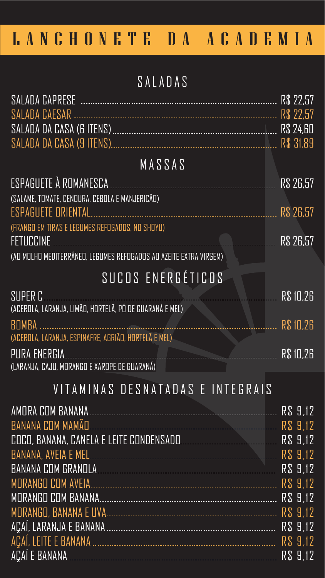|                                                                   | R\$ 22.57        |
|-------------------------------------------------------------------|------------------|
| SALADA DA CASA (6 ITENS)                                          | <b>R\$ 24.60</b> |
|                                                                   |                  |
| MASSAS                                                            |                  |
| ESPAGUETE À ROMANESCA EN ENFIN ANNESCA                            | R\$ 26,57        |
| (SALAME, TOMATE, CENOURA, CEBOLA E MANJERICÃO)                    |                  |
| ESPAGUETE ORIENTAL                                                | R\$ 26,57        |
| (FRANGO EM TIRAS E LEGUMES REFOGADOS, NO SHOYU)                   |                  |
| <b>FETUCCINE</b>                                                  | R\$ 26,57        |
| (AO MOLHO MEDITERRÂNEO, LEGUMES REFOGADOS AO AZEITE EXTRA VIRGEM) |                  |

| SUPER COMMUNIST COMMUNIST CONTRACTOR<br>(ACEROLA, LARANJA, LIMÃO, HORTELÃ, PÓ DE GUARANÁ E MEL)                                                                        | R\$ 10,26 |
|------------------------------------------------------------------------------------------------------------------------------------------------------------------------|-----------|
| BOMBA DEL COMBODO DE LA CONSTITUCIÓN EL COMBODO DE LA COMBODIA DEL COMBODO DE LA COMBODIA DEL COMBODIADO DE LA<br>(ACEROLA, LARANJA, ESPINAFRE, AGRIÃO, HORTELÃ E MEL) | R\$ 10,26 |
| PURA ENERGIA<br>(LARANJA, CAJU, MORANGO E XAROPE DE GUARANÁ)                                                                                                           | R\$ 10,26 |
| VITAMINAS DESNATADAS E INTEGRAIS                                                                                                                                       |           |
|                                                                                                                                                                        |           |
| BANANA COM MAMÃO                                                                                                                                                       |           |
|                                                                                                                                                                        |           |
|                                                                                                                                                                        |           |
|                                                                                                                                                                        |           |
| MORANGO COM AVEIA                                                                                                                                                      |           |
| MORANGO COM BANANA                                                                                                                                                     |           |
|                                                                                                                                                                        |           |
|                                                                                                                                                                        |           |
|                                                                                                                                                                        |           |



#### SALADAS

## SUCOS ENERGÉTICOS

## LANCHONETE DA ACADEMIA